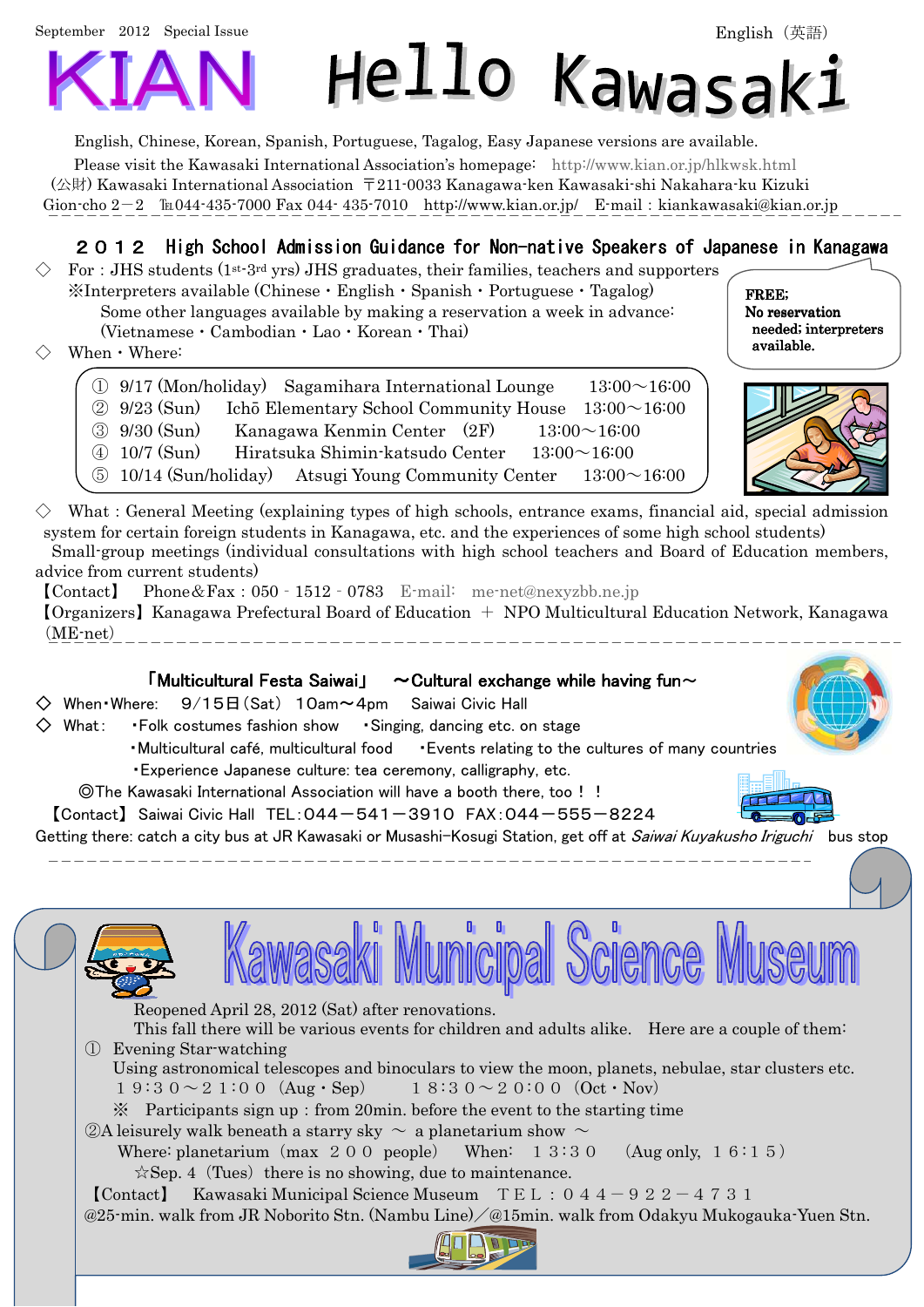September 2012 Special Issue



English, Chinese, Korean, Spanish, Portuguese, Tagalog, Easy Japanese versions are available. Please visit the Kawasaki International Association's homepage: http://www.kian.or.jp/hlkwsk.html (公財) Kawasaki International Association 〒211-0033 Kanagawa-ken Kawasaki-shi Nakahara-ku Kizuki Gion-cho  $2-2$   $\text{Im}044-435-7000$  Fax 044-435-7010 http://www.kian.or.jp/ E-mail: kiankawasaki@kian.or.jp

## 2012 High School Admission Guidance for Non-native Speakers of Japanese in Kanagawa

Hello Kawasak:

- For: JHS students ( $1^{st-3rd}$  yrs) JHS graduates, their families, teachers and supporters ※Interpreters available (Chinese・English・Spanish・Portuguese・Tagalog) Some other languages available by making a reservation a week in advance: (Vietnamese・Cambodian・Lao・Korean・Thai)
- $When Where:$



FREE; No reservation needed; interpreters available.



∟≡III

What: General Meeting (explaining types of high schools, entrance exams, financial aid, special admission system for certain foreign students in Kanagawa, etc. and the experiences of some high school students) Small-group meetings (individual consultations with high school teachers and Board of Education members, advice from current students) 【Contact】 Phone&Fax:050‐1512‐0783 E-mail: me-net@nexyzbb.ne.jp

【Organizers】Kanagawa Prefectural Board of Education + NPO Multicultural Education Network, Kanagawa (ME-net) 

#### 「Multicultural Festa Saiwai」  $\sim$  Cultural exchange while having fun $\sim$

 $\diamondsuit$  When Where:  $9/15\boxminus$  (Sat) 10am $\sim$ 4pm Saiwai Civic Hall

- $\diamondsuit$  What: Folk costumes fashion show Singing, dancing etc. on stage
	- ・Multicultural café, multicultural food ・Events relating to the cultures of many countries ・Experience Japanese culture: tea ceremony, calligraphy, etc.
		-
	- ◎The Kawasaki International Association will have a booth there, too!! 【Contact】 Saiwai Civic Hall TEL:044-541-3910 FAX:044-555-8224

Getting there: catch a city bus at JR Kawasaki or Musashi-Kosugi Station, get off at Saiwai Kuyakusho Iriguchi bus stop





Reopened April 28, 2012 (Sat) after renovations.

This fall there will be various events for children and adults alike. Here are a couple of them: ① Evening Star-watching

Using astronomical telescopes and binoculars to view the moon, planets, nebulae, star clusters etc.

- $19:30 \sim 21:00$  (Aug · Sep)  $18:30 \sim 20:00$  (Oct · Nov)
- $\mathcal X$  Participants sign up: from 20min. before the event to the starting time
- $\oslash$ A leisurely walk beneath a starry sky  $\sim$  a planetarium show  $\sim$ 
	- Where: planetarium (max 2 0 0 people) When:  $1\,3\,3\,0$  (Aug only,  $1\,6\,1\,5$ )  $\angle$ Sep. 4 (Tues) there is no showing, due to maintenance.
- **[Contact]** Kawasaki Municipal Science Museum  $TEL:044-922-4731$

@25-min. walk from JR Noborito Stn. (Nambu Line)/@15min. walk from Odakyu Mukogauka-Yuen Stn.

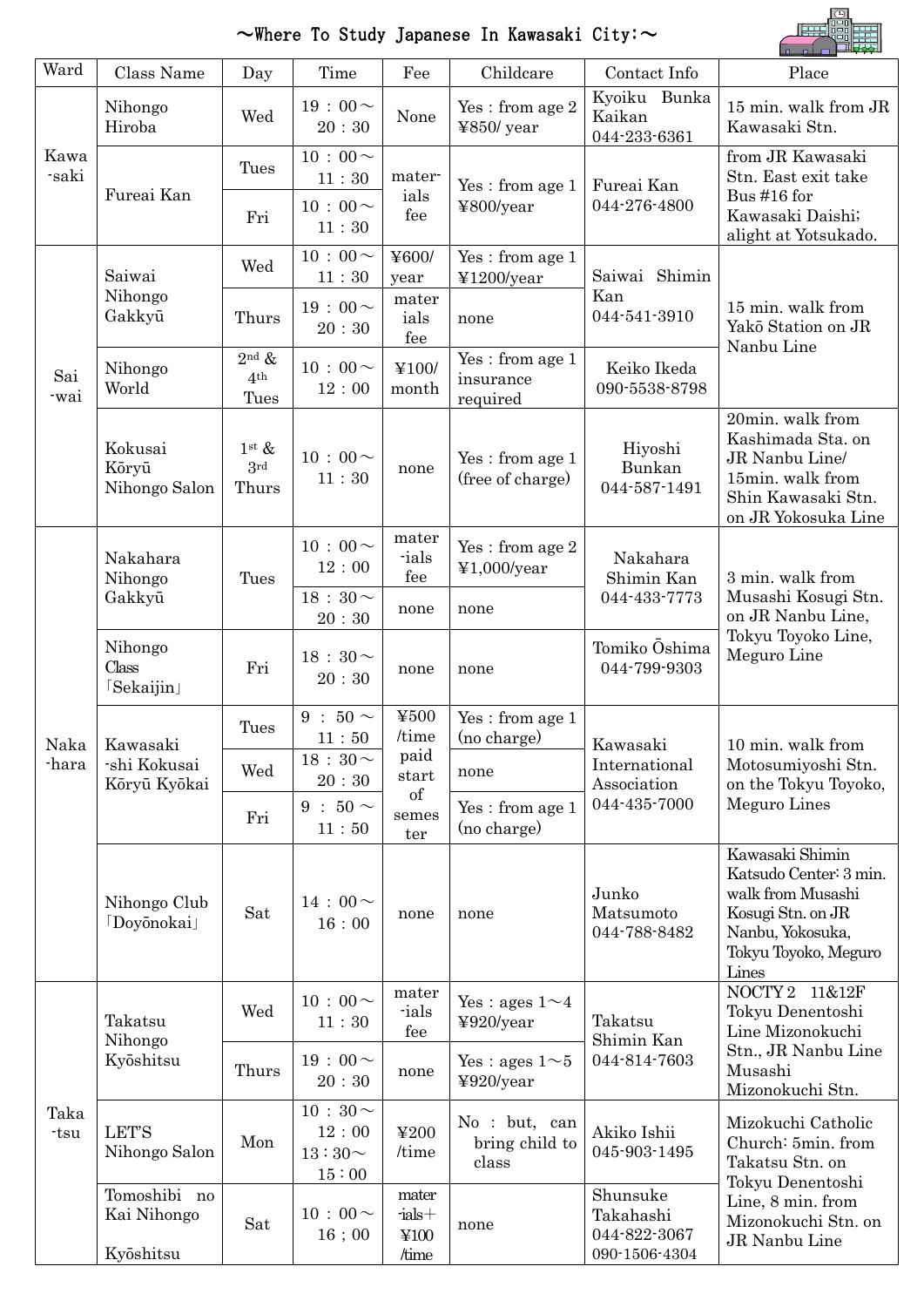

# $\sim$ Where To Study Japanese In Kawasaki City: $\sim$

|               |                                          |                                                    |                                               |                                        |                                            |                                                        | $\begin{bmatrix} 1 & 1 \end{bmatrix}$ , $\begin{bmatrix} 1 & 1 \end{bmatrix}$                                                            |  |
|---------------|------------------------------------------|----------------------------------------------------|-----------------------------------------------|----------------------------------------|--------------------------------------------|--------------------------------------------------------|------------------------------------------------------------------------------------------------------------------------------------------|--|
| Ward          | Class Name                               | Day                                                | Time                                          | Fee                                    | Childcare                                  | Contact Info                                           | Place                                                                                                                                    |  |
| Kawa<br>-saki | Nihongo<br>Hiroba                        | Wed                                                | $19:00 \sim$<br>20:30                         | None                                   | $\,\rm Yes$ : from age $2$<br>$4850$ /year | Kyoiku Bunka<br>Kaikan<br>044-233-6361                 | 15 min. walk from JR<br>Kawasaki Stn.                                                                                                    |  |
|               |                                          | Tues                                               | $10:00 \sim$<br>11:30                         | mater-<br>ials                         | Yes: from age 1                            | Fureai Kan                                             | from JR Kawasaki<br>Stn. East exit take<br>Bus #16 for<br>Kawasaki Daishi;<br>alight at Yotsukado.                                       |  |
|               | Fureai Kan                               | Fri                                                | $10:00 \sim$<br>11:30                         | fee                                    | ¥800/year                                  | 044-276-4800                                           |                                                                                                                                          |  |
|               | Saiwai<br>Nihongo<br>Gakkyū              | Wed                                                | $10:00 \sim$<br>$11\div 30$                   | ¥600/<br>year                          | Yes: from age 1<br>¥1200/year              | Saiwai Shimin                                          |                                                                                                                                          |  |
|               |                                          | Thurs                                              | $19:00 \sim$<br>20:30                         | mater<br>ials<br>fee                   | none                                       | Kan<br>044-541-3910                                    | 15 min. walk from<br>Yakō Station on JR<br>Nanbu Line                                                                                    |  |
| Sai<br>-wai   | Nihongo<br>World                         | $2nd$ &<br>4 <sup>th</sup><br>Tues                 | $10:00 \sim$<br>12:00                         | ¥100/<br>month                         | Yes: from age 1<br>insurance<br>required   | Keiko Ikeda<br>090-5538-8798                           |                                                                                                                                          |  |
|               | Kokusai<br>Kōryū<br>Nihongo Salon        | $1$ <sup>st</sup> $\&$<br>3 <sup>rd</sup><br>Thurs | $10:00 \sim$<br>11:30                         | none                                   | Yes: from age 1<br>(free of charge)        | Hiyoshi<br>Bunkan<br>044-587-1491                      | 20min. walk from<br>Kashimada Sta. on<br>JR Nanbu Line/<br>15min. walk from<br>Shin Kawasaki Stn.<br>on JR Yokosuka Line                 |  |
|               | Nakahara<br>Nihongo<br>Gakkyū            | Tues                                               | $10:00 \sim$<br>12:00                         | mater<br>ials<br>fee                   | Yes: from age 2<br>¥1,000/year             | Nakahara<br>Shimin Kan                                 | 3 min. walk from                                                                                                                         |  |
|               |                                          |                                                    | $18:30\sim$<br>20:30                          | none                                   | none                                       | 044-433-7773                                           | Musashi Kosugi Stn.<br>on JR Nanbu Line,<br>Tokyu Toyoko Line,<br>Meguro Line                                                            |  |
| Naka<br>-hara | Nihongo<br>Class<br>[Sekaijin]           | Fri                                                | 18:30 $\sim$<br>20:30                         | none                                   | none                                       | Tomiko Ōshima<br>044-799-9303                          |                                                                                                                                          |  |
|               | Kawasaki<br>-shi Kokusai<br>Kōryū Kyōkai | Tues                                               | $9:50\sim$<br>11:50                           | ¥500<br>/time                          | Yes: from age 1<br>(no charge)             | Kawasaki                                               | 10 min. walk from<br>Motosumiyoshi Stn.<br>on the Tokyu Toyoko,                                                                          |  |
|               |                                          | Wed                                                | 18 : 30 $\sim$<br>20:30                       | paid<br>start                          | none                                       | International<br>Association                           |                                                                                                                                          |  |
|               |                                          | Fri                                                | $9:50\sim$<br>11:50                           | of<br>semes<br>ter                     | Yes: from age 1<br>(no charge)             | 044-435-7000                                           | Meguro Lines                                                                                                                             |  |
|               | Nihongo Club<br><b>Doyonokai</b>         | Sat                                                | $14:00 \sim$<br>16:00                         | none                                   | none                                       | Junko<br>Matsumoto<br>044-788-8482                     | Kawasaki Shimin<br>Katsudo Center: 3 min.<br>walk from Musashi<br>Kosugi Stn. on JR<br>Nanbu, Yokosuka,<br>Tokyu Toyoko, Meguro<br>Lines |  |
| Taka<br>-tsu  | Takatsu<br>Nihongo<br>Kyōshitsu          | Wed                                                | $10:00 \sim$<br>11:30                         | mater<br>ials<br>fee                   | Yes : ages $1 \sim 4$<br>¥920/year         | Takatsu<br>Shimin Kan                                  | NOCTY <sub>2</sub><br>11&12F<br>Tokyu Denentoshi<br>Line Mizonokuchi                                                                     |  |
|               |                                          | Thurs                                              | $19:00 \sim$<br>20:30                         | none                                   | Yes : ages $1 \sim 5$<br>¥920/year         | 044-814-7603                                           | Stn., JR Nanbu Line<br>Musashi<br>Mizonokuchi Stn.                                                                                       |  |
|               | <b>LET'S</b><br>Nihongo Salon            | Mon                                                | $10:30 \sim$<br>12:00<br>$13:30\sim$<br>15:00 | ¥200<br>/time                          | No : but, can<br>bring child to<br>class   | Akiko Ishii<br>045-903-1495                            | Mizokuchi Catholic<br>Church: 5min. from<br>Takatsu Stn. on<br>Tokyu Denentoshi                                                          |  |
|               | Tomoshibi no<br>Kai Nihongo<br>Kyōshitsu | Sat                                                | $10:00 \sim$<br>$16\;;\,00$                   | mater<br>$-$ ials $+$<br>¥100<br>/time | none                                       | Shunsuke<br>Takahashi<br>044-822-3067<br>090-1506-4304 | Line, 8 min. from<br>Mizonokuchi Stn. on<br>JR Nanbu Line                                                                                |  |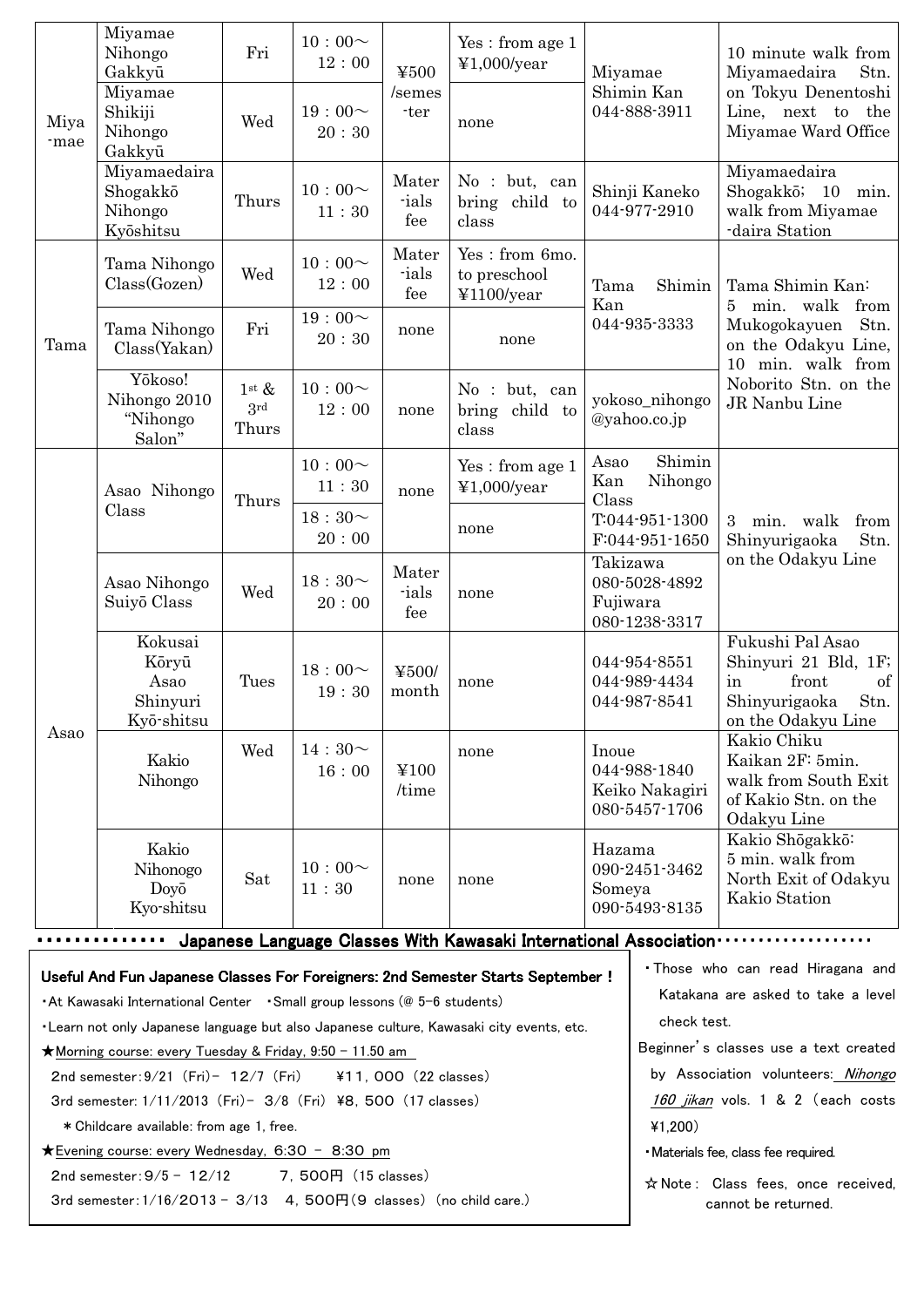|                                                                                                                                                                       | Miyamae<br>Nihongo<br>Gakkyū<br>Miyamae            | Fri                             | $10:00 \sim$<br>12:00 | ¥500<br>/semes        | Yes: from age 1<br>¥1,000/year                                                  | Miyamae                                                  | Shimin Kan                                                              | 10 minute walk from<br>Stn.<br>Miyamaedaira<br>on Tokyu Denentoshi<br>Line, next to the<br>Miyamae Ward Office              |  |  |
|-----------------------------------------------------------------------------------------------------------------------------------------------------------------------|----------------------------------------------------|---------------------------------|-----------------------|-----------------------|---------------------------------------------------------------------------------|----------------------------------------------------------|-------------------------------------------------------------------------|-----------------------------------------------------------------------------------------------------------------------------|--|--|
| Miya<br>-mae                                                                                                                                                          | Shikiji<br>Nihongo<br>Gakkyū                       | Wed                             | 19:00~<br>20:30       | -ter                  | none                                                                            |                                                          | 044-888-3911                                                            |                                                                                                                             |  |  |
|                                                                                                                                                                       | Miyamaedaira<br>Shogakkō<br>Nihongo<br>Kyōshitsu   | Thurs                           | $10:00\sim$<br>11:30  | Mater<br>-ials<br>fee | No : but, can<br>bring child to<br>class                                        | Shinji Kaneko<br>044-977-2910                            |                                                                         | Miyamaedaira<br>Shogakkō; 10 min.<br>walk from Miyamae<br>-daira Station                                                    |  |  |
|                                                                                                                                                                       | Tama Nihongo<br>Class(Gozen)                       | Wed                             | $10:00 \sim$<br>12:00 | Mater<br>-ials<br>fee | Yes: from 6mo.<br>to preschool<br>¥1100/year                                    | Shimin<br>Tama<br>Kan<br>044-935-3333                    |                                                                         | Tama Shimin Kan:<br>min. walk<br>from<br>$5^{\circ}$<br>Mukogokayuen<br>Stn.<br>on the Odakyu Line,<br>min. walk from<br>10 |  |  |
| Tama                                                                                                                                                                  | Tama Nihongo<br>Class(Yakan)                       | Fri                             | $19:00 \sim$<br>20:30 | none                  | none                                                                            |                                                          |                                                                         |                                                                                                                             |  |  |
|                                                                                                                                                                       | Yōkoso!<br>Nihongo 2010<br>"Nihongo<br>Salon"      | $1^{\rm st} \&$<br>3rd<br>Thurs | $10:00 \sim$<br>12:00 | none                  | No : but, can<br>bring<br>child to<br>class                                     |                                                          | yokoso_nihongo<br>$@$ yahoo.co.jp                                       | Noborito Stn. on the<br>JR Nanbu Line                                                                                       |  |  |
|                                                                                                                                                                       | Asao Nihongo                                       | Thurs                           | $10:00 \sim$<br>11:30 | none                  | Yes: from age 1<br>¥1,000/year                                                  | Asao<br>Kan<br>Class                                     | Shimin<br>Nihongo                                                       |                                                                                                                             |  |  |
|                                                                                                                                                                       | Class                                              |                                 | $18:30\sim$<br>20:00  |                       | none                                                                            | T:044-951-1300<br>F:044-951-1650                         |                                                                         | 3 min. walk<br>from<br>Shinyurigaoka<br>Stn.                                                                                |  |  |
| Asao                                                                                                                                                                  | Asao Nihongo<br>Suiyō Class                        | Wed                             | $18:30\sim$<br>20:00  | Mater<br>-ials<br>fee | none                                                                            | Fujiwara                                                 | Takizawa<br>080-5028-4892<br>080-1238-3317                              | on the Odakyu Line                                                                                                          |  |  |
|                                                                                                                                                                       | Kokusai<br>Kōryū<br>Asao<br>Shinyuri<br>Kyō-shitsu | Tues                            | $18:00 \sim$<br>19:30 | ¥500/<br>month        | none                                                                            | 044-954-8551<br>044-989-4434<br>044-987-8541             |                                                                         | Fukushi Pal Asao<br>Shinyuri 21 Bld, 1F;<br>front<br>of<br>in<br>Shinyurigaoka<br>Stn.<br>on the Odakyu Line                |  |  |
|                                                                                                                                                                       | Kakio<br>Nihongo                                   | Wed                             | 14:30~<br>16:00       | ¥100<br>/time         | none                                                                            | Inoue<br>044-988-1840<br>Keiko Nakagiri<br>080-5457-1706 |                                                                         | Kakio Chiku<br>Kaikan 2F: 5min.<br>walk from South Exit<br>of Kakio Stn. on the<br>Odakyu Line                              |  |  |
|                                                                                                                                                                       | Kakio<br>Nihonogo<br>Doyō<br>Kyo-shitsu            | Sat                             | $10:00 \sim$<br>11:30 | none                  | none                                                                            | Hazama<br>090-2451-3462<br>Someya<br>090-5493-8135       |                                                                         | Kakio Shōgakkō:<br>5 min. walk from<br>North Exit of Odakyu<br>Kakio Station                                                |  |  |
|                                                                                                                                                                       |                                                    |                                 |                       |                       | Japanese Language Classes With Kawasaki International Association.              |                                                          |                                                                         |                                                                                                                             |  |  |
|                                                                                                                                                                       |                                                    |                                 |                       |                       | Useful And Fun Japanese Classes For Foreigners: 2nd Semester Starts September ! |                                                          | . Those who can read Hiragana and<br>Katakana are asked to take a level |                                                                                                                             |  |  |
| • At Kawasaki International Center • Small group lessons (@ 5-6 students)<br>. Learn not only Japanese language but also Japanese culture, Kawasaki city events, etc. |                                                    |                                 |                       |                       |                                                                                 |                                                          |                                                                         | check test.                                                                                                                 |  |  |
| ★ Morning course: every Tuesday & Friday, 9:50 - 11.50 am                                                                                                             |                                                    |                                 |                       |                       |                                                                                 |                                                          |                                                                         | Beginner's classes use a text created                                                                                       |  |  |
| 2nd semester: $9/21$ (Fri) - 12/7 (Fri)<br>¥11, 000 (22 classes)                                                                                                      |                                                    |                                 |                       |                       |                                                                                 |                                                          |                                                                         | by Association volunteers: Nihongo                                                                                          |  |  |
| 3rd semester: 1/11/2013 (Fri)- 3/8 (Fri) ¥8, 500 (17 classes)<br>* Childcare available: from age 1, free.                                                             |                                                    |                                 |                       |                       |                                                                                 |                                                          |                                                                         | 160 jikan vols. 1 & 2 (each costs                                                                                           |  |  |
| ★Evening course: every Wednesday, 6:30 - 8:30 pm                                                                                                                      |                                                    |                                 |                       |                       |                                                                                 |                                                          |                                                                         | 41,200)<br>· Materials fee, class fee required.                                                                             |  |  |
| 7,500円 (15 classes)<br>2nd semester: $9/5 - 12/12$                                                                                                                    |                                                    |                                 |                       |                       |                                                                                 |                                                          |                                                                         | ☆ Note: Class fees, once received,                                                                                          |  |  |
| 3rd semester: 1/16/2013 - 3/13 4, 500円(9 classes) (no child care.)<br>cannot be returned.                                                                             |                                                    |                                 |                       |                       |                                                                                 |                                                          |                                                                         |                                                                                                                             |  |  |
|                                                                                                                                                                       |                                                    |                                 |                       |                       |                                                                                 |                                                          |                                                                         |                                                                                                                             |  |  |